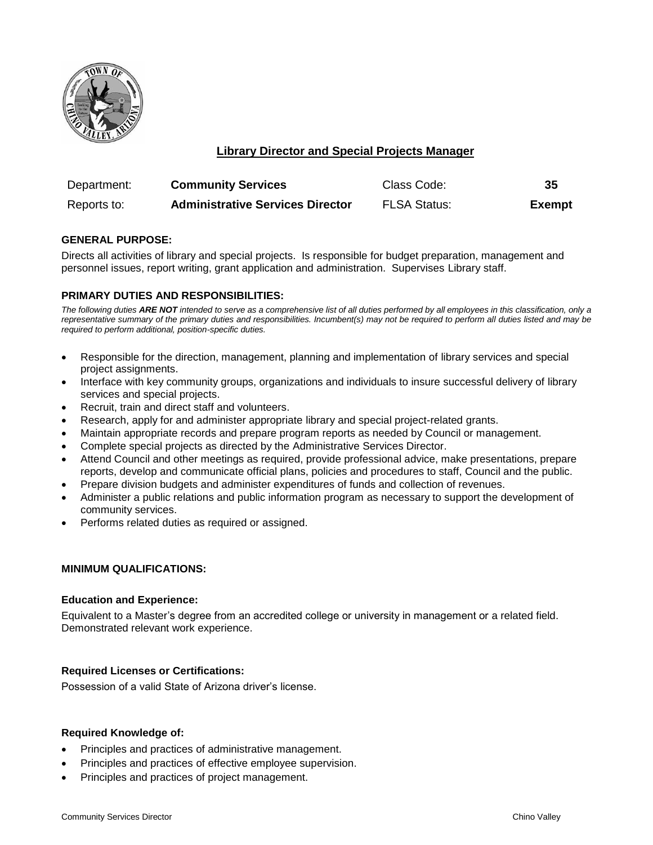

# **Library Director and Special Projects Manager**

| Department: | <b>Community Services</b>               | Class Code:         | 35            |
|-------------|-----------------------------------------|---------------------|---------------|
| Reports to: | <b>Administrative Services Director</b> | <b>FLSA Status:</b> | <b>Exempt</b> |

## **GENERAL PURPOSE:**

Directs all activities of library and special projects. Is responsible for budget preparation, management and personnel issues, report writing, grant application and administration. Supervises Library staff.

## **PRIMARY DUTIES AND RESPONSIBILITIES:**

*The following duties ARE NOT intended to serve as a comprehensive list of all duties performed by all employees in this classification, only a representative summary of the primary duties and responsibilities. Incumbent(s) may not be required to perform all duties listed and may be required to perform additional, position-specific duties.*

- Responsible for the direction, management, planning and implementation of library services and special project assignments.
- Interface with key community groups, organizations and individuals to insure successful delivery of library services and special projects.
- Recruit, train and direct staff and volunteers.
- Research, apply for and administer appropriate library and special project-related grants.
- Maintain appropriate records and prepare program reports as needed by Council or management.
- Complete special projects as directed by the Administrative Services Director.
- Attend Council and other meetings as required, provide professional advice, make presentations, prepare reports, develop and communicate official plans, policies and procedures to staff, Council and the public.
- Prepare division budgets and administer expenditures of funds and collection of revenues.
- Administer a public relations and public information program as necessary to support the development of community services.
- Performs related duties as required or assigned.

### **MINIMUM QUALIFICATIONS:**

### **Education and Experience:**

Equivalent to a Master's degree from an accredited college or university in management or a related field. Demonstrated relevant work experience.

### **Required Licenses or Certifications:**

Possession of a valid State of Arizona driver's license.

### **Required Knowledge of:**

- Principles and practices of administrative management.
- Principles and practices of effective employee supervision.
- Principles and practices of project management.